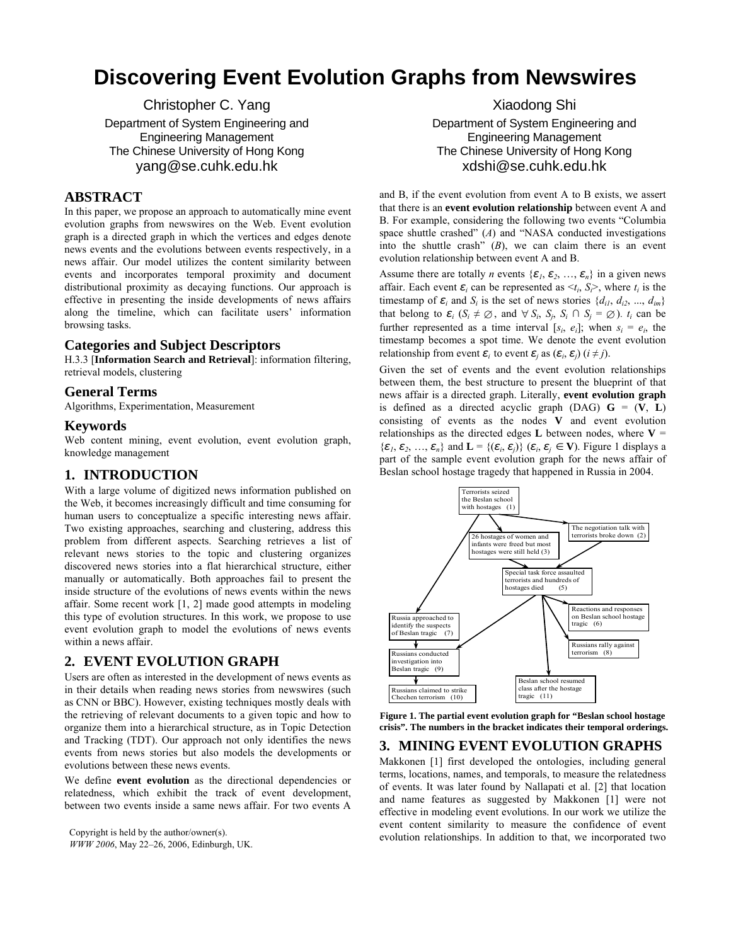# **Discovering Event Evolution Graphs from Newswires**

Christopher C. Yang Department of System Engineering and Engineering Management The Chinese University of Hong Kong yang@se.cuhk.edu.hk

# **ABSTRACT**

In this paper, we propose an approach to automatically mine event evolution graphs from newswires on the Web. Event evolution graph is a directed graph in which the vertices and edges denote news events and the evolutions between events respectively, in a news affair. Our model utilizes the content similarity between events and incorporates temporal proximity and document distributional proximity as decaying functions. Our approach is effective in presenting the inside developments of news affairs along the timeline, which can facilitate users' information browsing tasks.

## **Categories and Subject Descriptors**

H.3.3 [**Information Search and Retrieval**]: information filtering, retrieval models, clustering

#### **General Terms**

Algorithms, Experimentation, Measurement

### **Keywords**

Web content mining, event evolution, event evolution graph, knowledge management

## **1. INTRODUCTION**

With a large volume of digitized news information published on the Web, it becomes increasingly difficult and time consuming for human users to conceptualize a specific interesting news affair. Two existing approaches, searching and clustering, address this problem from different aspects. Searching retrieves a list of relevant news stories to the topic and clustering organizes discovered news stories into a flat hierarchical structure, either manually or automatically. Both approaches fail to present the inside structure of the evolutions of news events within the news affair. Some recent work [1, 2] made good attempts in modeling this type of evolution structures. In this work, we propose to use event evolution graph to model the evolutions of news events within a news affair.

# **2. EVENT EVOLUTION GRAPH**

Users are often as interested in the development of news events as in their details when reading news stories from newswires (such as CNN or BBC). However, existing techniques mostly deals with the retrieving of relevant documents to a given topic and how to organize them into a hierarchical structure, as in Topic Detection and Tracking (TDT). Our approach not only identifies the news events from news stories but also models the developments or evolutions between these news events.

We define **event evolution** as the directional dependencies or relatedness, which exhibit the track of event development, between two events inside a same news affair. For two events A

*WWW 2006*, May 22–26, 2006, Edinburgh, UK.

Xiaodong Shi

Department of System Engineering and Engineering Management The Chinese University of Hong Kong xdshi@se.cuhk.edu.hk

and B, if the event evolution from event A to B exists, we assert that there is an **event evolution relationship** between event A and B. For example, considering the following two events "Columbia space shuttle crashed" (*A*) and "NASA conducted investigations into the shuttle crash" (*B*), we can claim there is an event evolution relationship between event A and B.

Assume there are totally *n* events  $\{\varepsilon_1, \varepsilon_2, ..., \varepsilon_n\}$  in a given news affair. Each event  $\varepsilon_i$  can be represented as  $\langle t_i, S_i \rangle$ , where  $t_i$  is the timestamp of  $\varepsilon_i$  and  $S_i$  is the set of news stories  $\{d_{i1}, d_{i2}, ..., d_{im}\}$ that belong to  $\varepsilon_i$  ( $S_i \neq \emptyset$ , and  $\forall S_i$ ,  $S_j$ ,  $S_i \cap S_j = \emptyset$ ).  $t_i$  can be further represented as a time interval  $[s_i, e_i]$ ; when  $s_i = e_i$ , the timestamp becomes a spot time. We denote the event evolution relationship from event  $\varepsilon_i$  to event  $\varepsilon_j$  as  $(\varepsilon_i, \varepsilon_j)$  ( $i \neq j$ ).

Given the set of events and the event evolution relationships between them, the best structure to present the blueprint of that news affair is a directed graph. Literally, **event evolution graph** is defined as a directed acyclic graph (DAG)  $G = (V, L)$ consisting of events as the nodes **V** and event evolution relationships as the directed edges **L** between nodes, where  $V =$  ${\{\varepsilon_1, \varepsilon_2, ..., \varepsilon_n\}}$  and  $\mathbf{L} = {\{\varepsilon_i, \varepsilon_j\}}$  ( $\varepsilon_i, \varepsilon_j \in \mathbf{V}$ ). Figure 1 displays a part of the sample event evolution graph for the news affair of Beslan school hostage tragedy that happened in Russia in 2004.



**Figure 1. The partial event evolution graph for "Beslan school hostage crisis". The numbers in the bracket indicates their temporal orderings.** 

# **3. MINING EVENT EVOLUTION GRAPHS**

Makkonen [1] first developed the ontologies, including general terms, locations, names, and temporals, to measure the relatedness of events. It was later found by Nallapati et al. [2] that location and name features as suggested by Makkonen [1] were not effective in modeling event evolutions. In our work we utilize the event content similarity to measure the confidence of event Copyright is held by the author/owner(s).<br>evolution relationships. In addition to that, we incorporated two contractors is a second two Copyright is held by the author/owner(s).